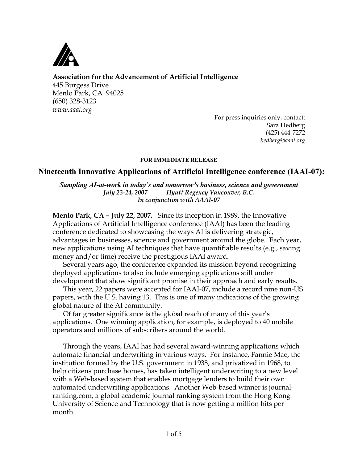

## **Association for the Advancement of Artificial Intelligence**

445 Burgess Drive Menlo Park, CA 94025 (650) 328-3123 *www.aaai.org*

For press inquiries only, contact: Sara Hedberg (425) 444-7272 *hedberg@aaai.org*

#### FOR IMMEDIATE RELEASE

## Nineteenth Innovative Applications of Artificial Intelligence conference (IAAI-07):

#### *Sampling AI-at-work in today's and tomorrow's business, science and government July 23-24, 2007 Hyatt Regency Vancouver, B.C. In conjunction with AAAI-07*

**Menlo Park, CA – July 22, 2007.** Since its inception in 1989, the Innovative Applications of Artificial Intelligence conference (IAAI) has been the leading conference dedicated to showcasing the ways AI is delivering strategic, advantages in businesses, science and government around the globe. Each year, new applications using AI techniques that have quantifiable results (e.g., saving money and/or time) receive the prestigious IAAI award.

Several years ago, the conference expanded its mission beyond recognizing deployed applications to also include emerging applications still under development that show significant promise in their approach and early results.

This year, 22 papers were accepted for IAAI-07, include a record nine non-US papers, with the U.S. having 13. This is one of many indications of the growing global nature of the AI community.

Of far greater significance is the global reach of many of this year's applications. One winning application, for example, is deployed to 40 mobile operators and millions of subscribers around the world.

Through the years, IAAI has had several award-winning applications which automate financial underwriting in various ways. For instance, Fannie Mae, the institution formed by the U.S. government in 1938, and privatized in 1968, to help citizens purchase homes, has taken intelligent underwriting to a new level with a Web-based system that enables mortgage lenders to build their own automated underwriting applications. Another Web-based winner is journalranking.com, a global academic journal ranking system from the Hong Kong University of Science and Technology that is now getting a million hits per month.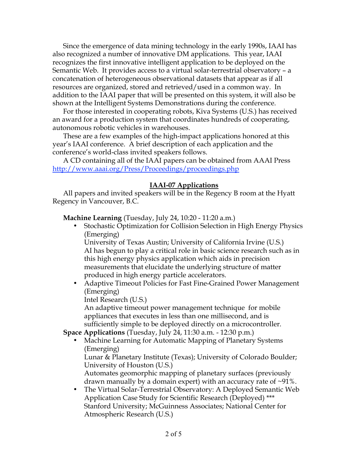Since the emergence of data mining technology in the early 1990s, IAAI has also recognized a number of innovative DM applications. This year, IAAI recognizes the first innovative intelligent application to be deployed on the Semantic Web. It provides access to a virtual solar-terrestrial observatory – a concatenation of heterogeneous observational datasets that appear as if all resources are organized, stored and retrieved/used in a common way. In addition to the IAAI paper that will be presented on this system, it will also be shown at the Intelligent Systems Demonstrations during the conference.

For those interested in cooperating robots, Kiva Systems (U.S.) has received an award for a production system that coordinates hundreds of cooperating, autonomous robotic vehicles in warehouses.

These are a few examples of the high-impact applications honored at this year's IAAI conference. A brief description of each application and the conference's world-class invited speakers follows.

A CD containing all of the IAAI papers can be obtained from AAAI Press http://www.aaai.org/Press/Proceedings/proceedings.php

### **IAAI-07 Applications**

All papers and invited speakers will be in the Regency B room at the Hyatt Regency in Vancouver, B.C.

**Machine Learning** (Tuesday, July 24, 10:20 - 11:20 a.m.)

• Stochastic Optimization for Collision Selection in High Energy Physics (Emerging)

University of Texas Austin; University of California Irvine (U.S.) AI has begun to play a critical role in basic science research such as in this high energy physics application which aids in precision measurements that elucidate the underlying structure of matter produced in high energy particle accelerators.

• Adaptive Timeout Policies for Fast Fine-Grained Power Management (Emerging)

Intel Research (U.S.)

An adaptive timeout power management technique for mobile appliances that executes in less than one millisecond, and is sufficiently simple to be deployed directly on a microcontroller.

**Space Applications** (Tuesday, July 24, 11:30 a.m. - 12:30 p.m.)

• Machine Learning for Automatic Mapping of Planetary Systems (Emerging)

Lunar & Planetary Institute (Texas); University of Colorado Boulder; University of Houston (U.S.)

Automates geomorphic mapping of planetary surfaces (previously drawn manually by a domain expert) with an accuracy rate of  $\sim$ 91%.

• The Virtual Solar-Terrestrial Observatory: A Deployed Semantic Web Application Case Study for Scientific Research (Deployed) \*\*\* Stanford University; McGuinness Associates; National Center for Atmospheric Research (U.S.)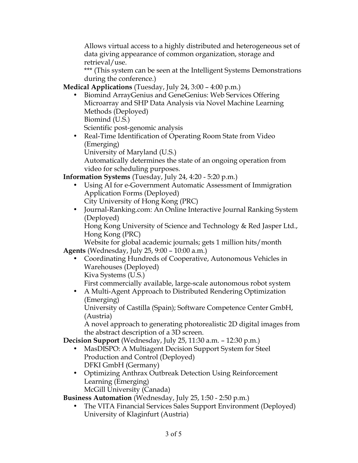Allows virtual access to a highly distributed and heterogeneous set of data giving appearance of common organization, storage and retrieval/use.

\*\*\* (This system can be seen at the Intelligent Systems Demonstrations during the conference.)

**Medical Applications** (Tuesday, July 24, 3:00 – 4:00 p.m.)

• Biomind ArrayGenius and GeneGenius: Web Services Offering Microarray and SHP Data Analysis via Novel Machine Learning Methods (Deployed) Biomind (U.S.)

Scientific post-genomic analysis

• Real-Time Identification of Operating Room State from Video (Emerging)

University of Maryland (U.S.)

Automatically determines the state of an ongoing operation from video for scheduling purposes.

**Information Systems** (Tuesday, July 24, 4:20 - 5:20 p.m.)

- Using AI for e-Government Automatic Assessment of Immigration Application Forms (Deployed)
	- City University of Hong Kong (PRC)
- Journal-Ranking.com: An Online Interactive Journal Ranking System (Deployed)

Hong Kong University of Science and Technology & Red Jasper Ltd., Hong Kong (PRC)

Website for global academic journals; gets 1 million hits/month **Agents** (Wednesday, July 25, 9:00 – 10:00 a.m.)

- Coordinating Hundreds of Cooperative, Autonomous Vehicles in Warehouses (Deployed)
	- Kiva Systems (U.S.)

First commercially available, large-scale autonomous robot system

• A Multi-Agent Approach to Distributed Rendering Optimization (Emerging)

University of Castilla (Spain); Software Competence Center GmbH, (Austria)

A novel approach to generating photorealistic 2D digital images from the abstract description of a 3D screen.

**Decision Support** (Wednesday, July 25, 11:30 a.m. – 12:30 p.m.)

- MasDISPO: A Multiagent Decision Support System for Steel Production and Control (Deployed) DFKI GmbH (Germany)
- Optimizing Anthrax Outbreak Detection Using Reinforcement Learning (Emerging) McGill University (Canada)

**Business Automation** (Wednesday, July 25, 1:50 - 2:50 p.m.)

• The VITA Financial Services Sales Support Environment (Deployed) University of Klaginfurt (Austria)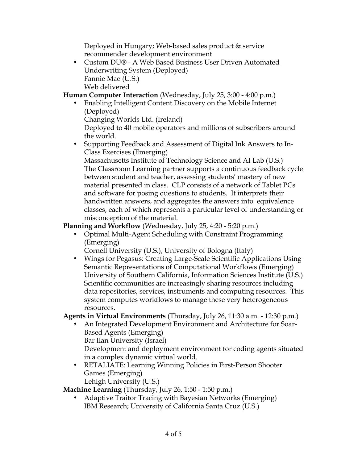Deployed in Hungary; Web-based sales product & service recommender development environment

• Custom DU® - A Web Based Business User Driven Automated Underwriting System (Deployed) Fannie Mae (U.S.) Web delivered

**Human Computer Interaction** (Wednesday, July 25, 3:00 - 4:00 p.m.)

• Enabling Intelligent Content Discovery on the Mobile Internet (Deployed)

Changing Worlds Ltd. (Ireland)

Deployed to 40 mobile operators and millions of subscribers around the world.

• Supporting Feedback and Assessment of Digital Ink Answers to In-Class Exercises (Emerging)

Massachusetts Institute of Technology Science and AI Lab (U.S.) The Classroom Learning partner supports a continuous feedback cycle between student and teacher, assessing students' mastery of new material presented in class. CLP consists of a network of Tablet PCs and software for posing questions to students. It interprets their handwritten answers, and aggregates the answers into equivalence classes, each of which represents a particular level of understanding or misconception of the material.

**Planning and Workflow** (Wednesday, July 25, 4:20 - 5:20 p.m.)

- Optimal Multi-Agent Scheduling with Constraint Programming (Emerging)
	- Cornell University (U.S.); University of Bologna (Italy)
- Wings for Pegasus: Creating Large-Scale Scientific Applications Using Semantic Representations of Computational Workflows (Emerging) University of Southern California, Information Sciences Institute (U.S.) Scientific communities are increasingly sharing resources including data repositories, services, instruments and computing resources. This system computes workflows to manage these very heterogeneous resources.

# **Agents in Virtual Environments** (Thursday, July 26, 11:30 a.m. - 12:30 p.m.)

- An Integrated Development Environment and Architecture for Soar-Based Agents (Emerging) Bar Ilan University (Israel) Development and deployment environment for coding agents situated in a complex dynamic virtual world.
- RETALIATE: Learning Winning Policies in First-Person Shooter Games (Emerging) Lehigh University (U.S.)

**Machine Learning** (Thursday, July 26, 1:50 - 1:50 p.m.)

• Adaptive Traitor Tracing with Bayesian Networks (Emerging) IBM Research; University of California Santa Cruz (U.S.)